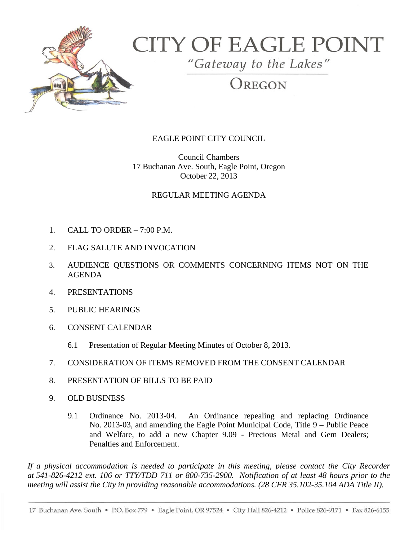

# **CITY OF EAGLE POINT**

"Gateway to the Lakes"

OREGON

## EAGLE POINT CITY COUNCIL

Council Chambers 17 Buchanan Ave. South, Eagle Point, Oregon October 22, 2013

### REGULAR MEETING AGENDA

- 1. CALL TO ORDER 7:00 P.M.
- 2. FLAG SALUTE AND INVOCATION
- 3. AUDIENCE QUESTIONS OR COMMENTS CONCERNING ITEMS NOT ON THE AGENDA
- 4. PRESENTATIONS
- 5. PUBLIC HEARINGS
- 6. CONSENT CALENDAR
	- 6.1 Presentation of Regular Meeting Minutes of October 8, 2013.
- 7. CONSIDERATION OF ITEMS REMOVED FROM THE CONSENT CALENDAR
- 8. PRESENTATION OF BILLS TO BE PAID
- 9. OLD BUSINESS
	- 9.1 Ordinance No. 2013-04. An Ordinance repealing and replacing Ordinance No. 2013-03, and amending the Eagle Point Municipal Code, Title 9 – Public Peace and Welfare, to add a new Chapter 9.09 - Precious Metal and Gem Dealers; Penalties and Enforcement.

*If a physical accommodation is needed to participate in this meeting, please contact the City Recorder at 541-826-4212 ext. 106 or TTY/TDD 711 or 800-735-2900. Notification of at least 48 hours prior to the meeting will assist the City in providing reasonable accommodations. (28 CFR 35.102-35.104 ADA Title II).*